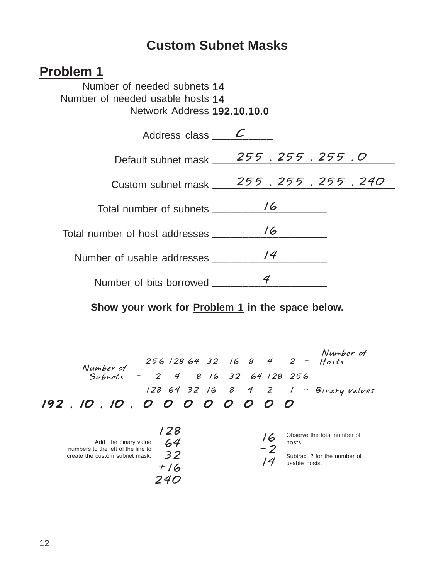## **Custom Subnet Masks**

### **Problem 1**

Number of needed subnets **14** Number of needed usable hosts **14** Network Address **192.10.10.0**

| Address class $\overline{\phantom{a}}$ |                                           |  |  |  |  |  |
|----------------------------------------|-------------------------------------------|--|--|--|--|--|
| Default subnet mask                    | 255.255.255.0                             |  |  |  |  |  |
|                                        | Custom subnet mask ___ 255. 255. 255. 240 |  |  |  |  |  |
| Total number of subnets                | 16                                        |  |  |  |  |  |
| Total number of host addresses         | 16                                        |  |  |  |  |  |
| Number of usable addresses             | /4                                        |  |  |  |  |  |
|                                        |                                           |  |  |  |  |  |
| Number of bits borrowed                |                                           |  |  |  |  |  |

#### **Show your work for Problem 1 in the space below.**

*192 . 10 . 10 . 0 0 0 0 0 0 0 0 128 64 32 16 8 4 2 1 - Binary values Number of Subnets - 2 4 8 16 32 64 128 256 Number of 256 128 64 32 16 8 4 2 - Hosts*

| Add the binary value<br>numbers to the left of the line to<br>create the custom subnet mask. | 28<br>64<br>32<br>$+16$ | '6<br>$\sim$ 7 | Observe the total number of<br>hosts.<br>Subtract 2 for the number of<br>usable hosts. |
|----------------------------------------------------------------------------------------------|-------------------------|----------------|----------------------------------------------------------------------------------------|
|                                                                                              |                         |                |                                                                                        |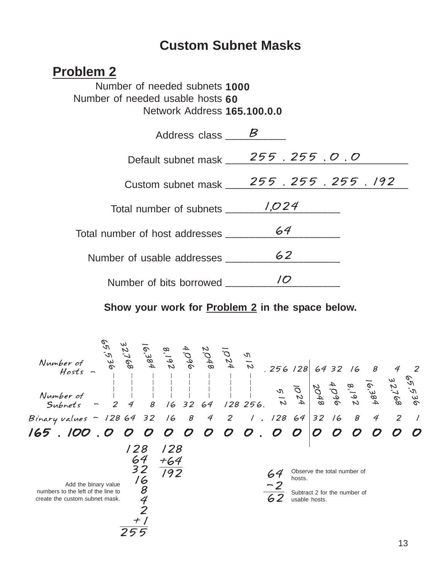## **Custom Subnet Masks**

### **Problem 2**

Number of needed subnets **1000** Number of needed usable hosts **60** Network Address **165.100.0.0**

| Address class $\qquad \qquad B$ |                 |  |  |  |  |  |  |  |  |
|---------------------------------|-----------------|--|--|--|--|--|--|--|--|
| Default subnet mask             | 255.255.0.0     |  |  |  |  |  |  |  |  |
| Custom subnet mask              | 255.255.255.192 |  |  |  |  |  |  |  |  |
| Total number of subnets         | 1,024           |  |  |  |  |  |  |  |  |
| Total number of host addresses  | 64              |  |  |  |  |  |  |  |  |
|                                 | 62              |  |  |  |  |  |  |  |  |
| Number of usable addresses      |                 |  |  |  |  |  |  |  |  |
| Number of bits borrowed ___     |                 |  |  |  |  |  |  |  |  |

#### **Show your work for Problem 2 in the space below.**